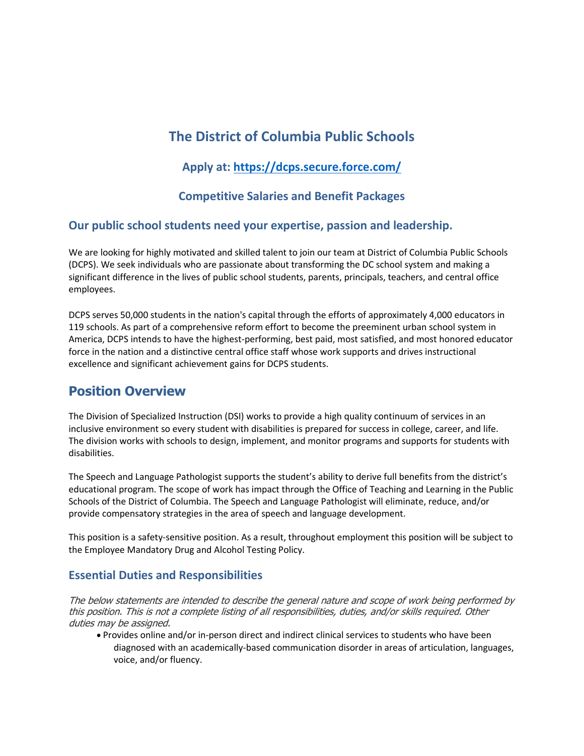# **The District of Columbia Public Schools**

## **Apply at:<https://dcps.secure.force.com/>**

## **Competitive Salaries and Benefit Packages**

### **Our public school students need your expertise, passion and leadership.**

We are looking for highly motivated and skilled talent to join our team at District of Columbia Public Schools (DCPS). We seek individuals who are passionate about transforming the DC school system and making a significant difference in the lives of public school students, parents, principals, teachers, and central office employees.

DCPS serves 50,000 students in the nation's capital through the efforts of approximately 4,000 educators in 119 schools. As part of a comprehensive reform effort to become the preeminent urban school system in America, DCPS intends to have the highest-performing, best paid, most satisfied, and most honored educator force in the nation and a distinctive central office staff whose work supports and drives instructional excellence and significant achievement gains for DCPS students.

## **Position Overview**

The Division of Specialized Instruction (DSI) works to provide a high quality continuum of services in an inclusive environment so every student with disabilities is prepared for success in college, career, and life. The division works with schools to design, implement, and monitor programs and supports for students with disabilities.

The Speech and Language Pathologist supports the student's ability to derive full benefits from the district's educational program. The scope of work has impact through the Office of Teaching and Learning in the Public Schools of the District of Columbia. The Speech and Language Pathologist will eliminate, reduce, and/or provide compensatory strategies in the area of speech and language development.

This position is a safety-sensitive position. As a result, throughout employment this position will be subject to the Employee Mandatory Drug and Alcohol Testing Policy.

## **Essential Duties and Responsibilities**

The below statements are intended to describe the general nature and scope of work being performed by this position. This is not a complete listing of all responsibilities, duties, and/or skills required. Other duties may be assigned.

• Provides online and/or in-person direct and indirect clinical services to students who have been diagnosed with an academically-based communication disorder in areas of articulation, languages, voice, and/or fluency.